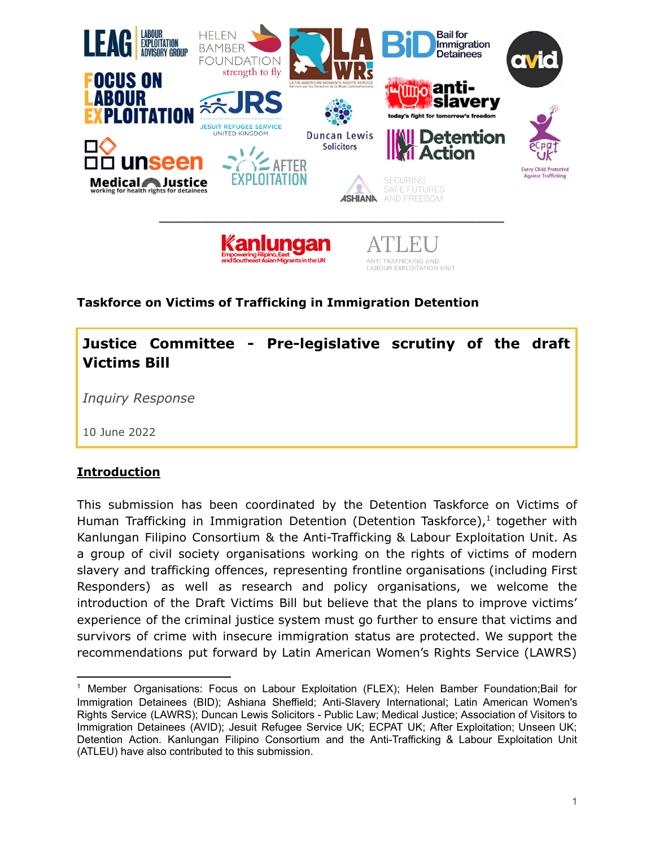

## **Taskforce on Victims of Trafficking in Immigration Detention**

**Justice Committee - Pre-legislative scrutiny of the draft Victims Bill**

*Inquiry Response*

10 June 2022

## **Introduction**

This submission has been coordinated by the Detention Taskforce on Victims of Human Trafficking in Immigration Detention (Detention Taskforce), 1 together with Kanlungan Filipino Consortium & the Anti-Trafficking & Labour Exploitation Unit. As a group of civil society organisations working on the rights of victims of modern slavery and trafficking offences, representing frontline organisations (including First Responders) as well as research and policy organisations, we welcome the introduction of the Draft Victims Bill but believe that the plans to improve victims' experience of the criminal justice system must go further to ensure that victims and survivors of crime with insecure immigration status are protected. We support the recommendations put forward by Latin American Women's Rights Service (LAWRS)

<sup>1</sup> Member Organisations: Focus on Labour Exploitation (FLEX); Helen Bamber [Foundation](https://www.helenbamber.org/)[;Bail](https://www.biduk.org/) for [Immigration](https://www.biduk.org/) Detainees (BID); Ashiana Sheffield; Anti-Slavery [International](https://www.antislavery.org/); Latin [American](http://www.lawrs.org.uk/) Women's Rights [Service](http://www.lawrs.org.uk/) (LAWRS); Duncan Lewis [Solicitors](https://www.duncanlewis.co.uk/publiclaw.html) - Public Law; [Medical](http://www.medicaljustice.org.uk/) Justice; [Association](http://www.aviddetention.org.uk/welcome-avid) of Visitors to [Immigration](http://www.aviddetention.org.uk/welcome-avid) Detainees (AVID); Jesuit [Refugee](https://www.jrsuk.net/) Service UK; [ECPAT](https://www.ecpat.org.uk/) UK; After [Exploitation](https://afterexploitation.com/); [Unseen](https://www.unseenuk.org/) UK; [Detention](https://detentionaction.org.uk/) Action. Kanlungan Filipino Consortium and the Anti-Trafficking & Labour Exploitation Unit (ATLEU) have also contributed to this submission.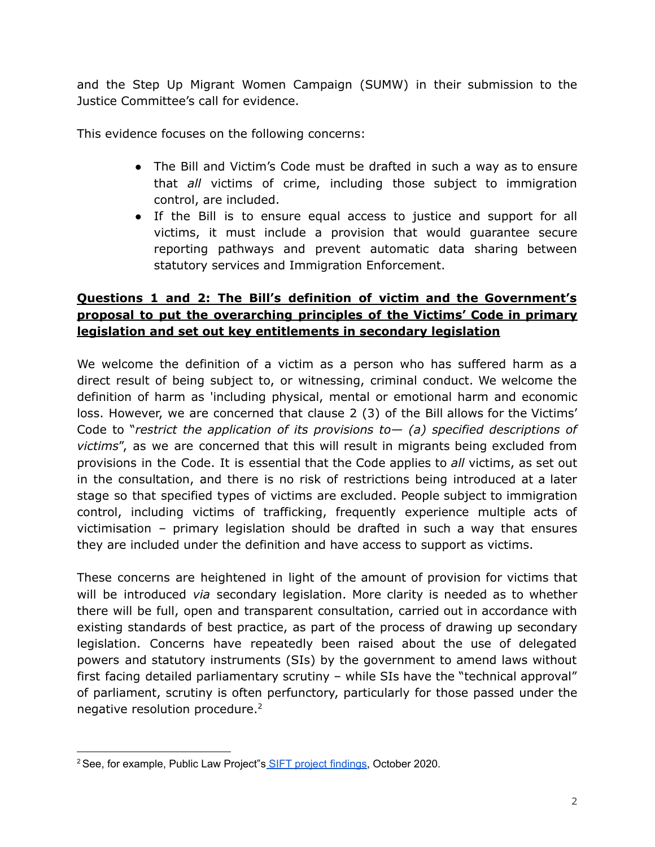and the Step Up Migrant Women Campaign (SUMW) in their submission to the Justice Committee's call for evidence.

This evidence focuses on the following concerns:

- The Bill and Victim's Code must be drafted in such a way as to ensure that *all* victims of crime, including those subject to immigration control, are included.
- If the Bill is to ensure equal access to justice and support for all victims, it must include a provision that would guarantee secure reporting pathways and prevent automatic data sharing between statutory services and Immigration Enforcement.

## **Questions 1 and 2: The Bill's definition of victim and the Government's proposal to put the overarching principles of the Victims' Code in primary legislation and set out key entitlements in secondary legislation**

We welcome the definition of a victim as a person who has suffered harm as a direct result of being subject to, or witnessing, criminal conduct. We welcome the definition of harm as 'including physical, mental or emotional harm and economic loss. However, we are concerned that clause 2 (3) of the Bill allows for the Victims' Code to "*restrict the application of its provisions to— (a) specified descriptions of victims*", as we are concerned that this will result in migrants being excluded from provisions in the Code. It is essential that the Code applies to *all* victims, as set out in the consultation, and there is no risk of restrictions being introduced at a later stage so that specified types of victims are excluded. People subject to immigration control, including victims of trafficking, frequently experience multiple acts of victimisation – primary legislation should be drafted in such a way that ensures they are included under the definition and have access to support as victims.

These concerns are heightened in light of the amount of provision for victims that will be introduced *via* secondary legislation. More clarity is needed as to whether there will be full, open and transparent consultation, carried out in accordance with existing standards of best practice, as part of the process of drawing up secondary legislation. Concerns have repeatedly been raised about the use of delegated powers and statutory instruments (SIs) by the government to amend laws without first facing detailed parliamentary scrutiny – while SIs have the "technical approval" of parliament, scrutiny is often perfunctory, particularly for those passed under the negative resolution procedure. $2$ 

<sup>&</sup>lt;sup>2</sup> See, for example, Public Law Project"s SIFT project [findings](https://publiclawproject.org.uk/what-we-do/current-projects-and-activities/brexit/the-sift-project/), October 2020.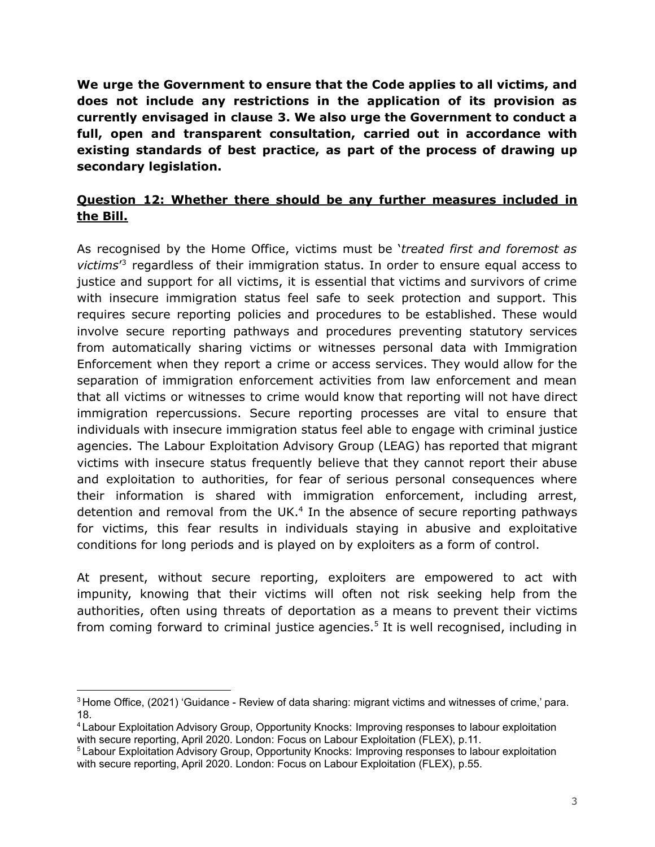**We urge the Government to ensure that the Code applies to all victims, and does not include any restrictions in the application of its provision as currently envisaged in clause 3. We also urge the Government to conduct a full, open and transparent consultation, carried out in accordance with existing standards of best practice, as part of the process of drawing up secondary legislation.**

## **Question 12: Whether there should be any further measures included in the Bill.**

As recognised by the Home Office, victims must be '*treated first and foremost as victims*' <sup>3</sup> regardless of their immigration status. In order to ensure equal access to justice and support for all victims, it is essential that victims and survivors of crime with insecure immigration status feel safe to seek protection and support. This requires secure reporting policies and procedures to be established. These would involve secure reporting pathways and procedures preventing statutory services from automatically sharing victims or witnesses personal data with Immigration Enforcement when they report a crime or access services. They would allow for the separation of immigration enforcement activities from law enforcement and mean that all victims or witnesses to crime would know that reporting will not have direct immigration repercussions. Secure reporting processes are vital to ensure that individuals with insecure immigration status feel able to engage with criminal justice agencies. The Labour Exploitation Advisory Group (LEAG) has reported that migrant victims with insecure status frequently believe that they cannot report their abuse and exploitation to authorities, for fear of serious personal consequences where their information is shared with immigration enforcement, including arrest, detention and removal from the UK. <sup>4</sup> In the absence of secure reporting pathways for victims, this fear results in individuals staying in abusive and exploitative conditions for long periods and is played on by exploiters as a form of control.

At present, without secure reporting, exploiters are empowered to act with impunity, knowing that their victims will often not risk seeking help from the authorities, often using threats of deportation as a means to prevent their victims from coming forward to criminal justice agencies. <sup>5</sup> It is well recognised, including in

<sup>&</sup>lt;sup>3</sup> Home Office, (2021) 'Guidance - Review of data sharing: migrant victims and witnesses of crime,' para. 18.

<sup>4</sup> Labour Exploitation Advisory Group, Opportunity Knocks: Improving responses to labour exploitation with secure reporting, April 2020. London: Focus on Labour Exploitation (FLEX), p.11.

<sup>5</sup> Labour Exploitation Advisory Group, Opportunity Knocks: Improving responses to labour exploitation with secure reporting, April 2020. London: Focus on Labour Exploitation (FLEX), p.55.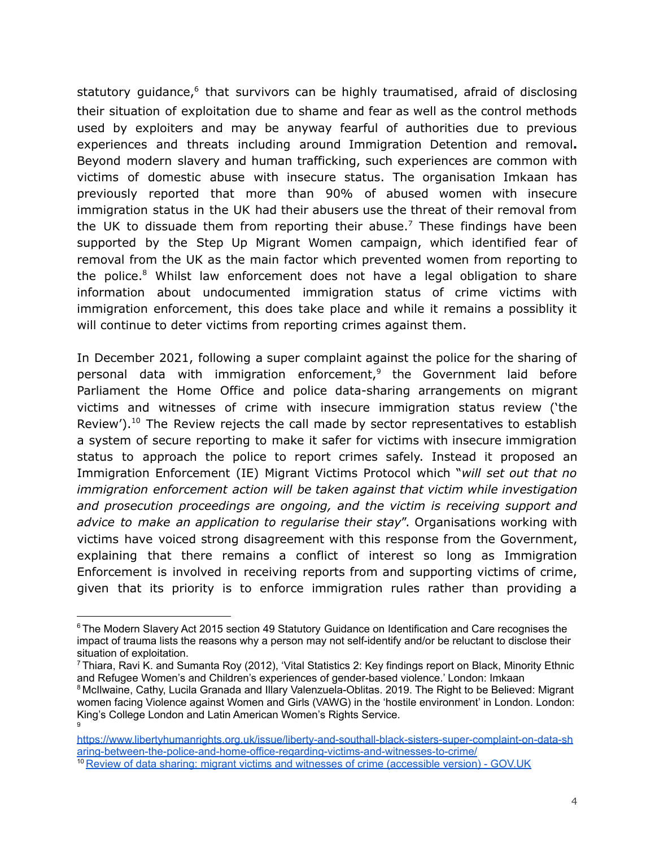statutory guidance,<sup>6</sup> that survivors can be highly traumatised, afraid of disclosing their situation of exploitation due to shame and fear as well as the control methods used by exploiters and may be anyway fearful of authorities due to previous experiences and threats including around Immigration Detention and removal**.** Beyond modern slavery and human trafficking, such experiences are common with victims of domestic abuse with insecure status. The organisation Imkaan has previously reported that more than 90% of abused women with insecure immigration status in the UK had their abusers use the threat of their removal from the UK to dissuade them from reporting their abuse.<sup>7</sup> These findings have been supported by the Step Up Migrant Women campaign, which identified fear of removal from the UK as the main factor which prevented women from reporting to the police. <sup>8</sup> Whilst law enforcement does not have a legal obligation to share information about undocumented immigration status of crime victims with immigration enforcement, this does take place and while it remains a possiblity it will continue to deter victims from reporting crimes against them.

In December 2021, following a super complaint against the police for the sharing of personal data with immigration enforcement, 9 the Government laid before Parliament the Home Office and police data-sharing arrangements on migrant victims and witnesses of crime with insecure immigration status review ('the Review').<sup>10</sup> The Review rejects the call made by sector representatives to establish a system of secure reporting to make it safer for victims with insecure immigration status to approach the police to report crimes safely. Instead it proposed an Immigration Enforcement (IE) Migrant Victims Protocol which "*will set out that no immigration enforcement action will be taken against that victim while investigation and prosecution proceedings are ongoing, and the victim is receiving support and advice to make an application to regularise their stay*". Organisations working with victims have voiced strong disagreement with this response from the Government, explaining that there remains a conflict of interest so long as Immigration Enforcement is involved in receiving reports from and supporting victims of crime, given that its priority is to enforce immigration rules rather than providing a

<sup>&</sup>lt;sup>6</sup> The Modern Slavery Act 2015 section 49 Statutory Guidance on Identification and Care recognises the impact of trauma lists the reasons why a person may not self-identify and/or be reluctant to disclose their situation of exploitation.

<sup>&</sup>lt;sup>7</sup> Thiara, Ravi K. and Sumanta Roy (2012), 'Vital Statistics 2: Key findings report on Black, Minority Ethnic and Refugee Women's and Children's experiences of gender-based violence.' London: Imkaan

<sup>9</sup> <sup>8</sup> McIlwaine, Cathy, Lucila Granada and Illary Valenzuela-Oblitas. 2019. The Right to be Believed: Migrant women facing Violence against Women and Girls (VAWG) in the 'hostile environment' in London. London: King's College London and Latin American Women's Rights Service.

[https://www.libertyhumanrights.org.uk/issue/liberty-and-southall-black-sisters-super-complaint-on-data-sh](https://www.libertyhumanrights.org.uk/issue/liberty-and-southall-black-sisters-super-complaint-on-data-sharing-between-the-police-and-home-office-regarding-victims-and-witnesses-to-crime/) [aring-between-the-police-and-home-office-regarding-victims-and-witnesses-to-crime/](https://www.libertyhumanrights.org.uk/issue/liberty-and-southall-black-sisters-super-complaint-on-data-sharing-between-the-police-and-home-office-regarding-victims-and-witnesses-to-crime/)

<sup>10</sup> Review of data sharing: migrant victims and witnesses of crime [\(accessible](https://hansard.parliament.uk/Commons/2021-12-08/debates/63B3AE86-2989-449D-97A5-EF78C8DC79CA/details) version) - GOV.UK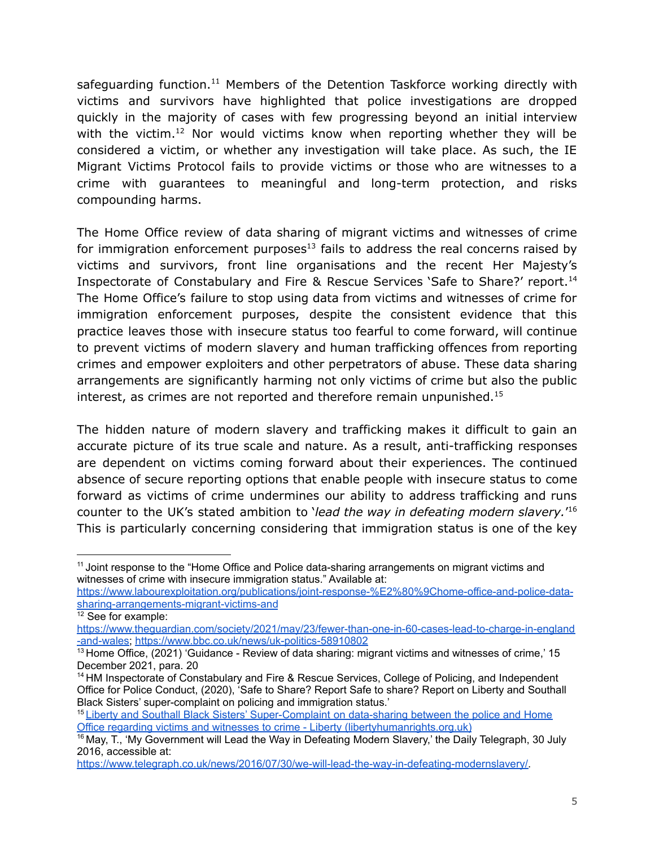safeguarding function.<sup>11</sup> Members of the Detention Taskforce working directly with victims and survivors have highlighted that police investigations are dropped quickly in the majority of cases with few progressing beyond an initial interview with the victim.<sup>12</sup> Nor would victims know when reporting whether they will be considered a victim, or whether any investigation will take place. As such, the IE Migrant Victims Protocol fails to provide victims or those who are witnesses to a crime with guarantees to meaningful and long-term protection, and risks compounding harms.

The Home Office review of data sharing of migrant victims and witnesses of crime for immigration enforcement purposes $^{13}$  fails to address the real concerns raised by victims and survivors, front line organisations and the recent Her Majesty's Inspectorate of Constabulary and Fire & Rescue Services 'Safe to Share?' report. 14 The Home Office's failure to stop using data from victims and witnesses of crime for immigration enforcement purposes, despite the consistent evidence that this practice leaves those with insecure status too fearful to come forward, will continue to prevent victims of modern slavery and human trafficking offences from reporting crimes and empower exploiters and other perpetrators of abuse. These data sharing arrangements are significantly harming not only victims of crime but also the public interest, as crimes are not reported and therefore remain unpunished. 15

The hidden nature of modern slavery and trafficking makes it difficult to gain an accurate picture of its true scale and nature. As a result, anti-trafficking responses are dependent on victims coming forward about their experiences. The continued absence of secure reporting options that enable people with insecure status to come forward as victims of crime undermines our ability to address trafficking and runs counter to the UK's stated ambition to '*lead the way in defeating modern slavery.*' 16 This is particularly concerning considering that immigration status is one of the key

<sup>&</sup>lt;sup>11</sup> Joint response to the "Home Office and Police data-sharing arrangements on migrant victims and witnesses of crime with insecure immigration status." Available at:

[https://www.labourexploitation.org/publications/joint-response-%E2%80%9Chome-office-and-police-data](https://www.labourexploitation.org/publications/joint-response-%E2%80%9Chome-office-and-police-data-sharing-arrangements-migrant-victims-and)[sharing-arrangements-migrant-victims-and](https://www.labourexploitation.org/publications/joint-response-%E2%80%9Chome-office-and-police-data-sharing-arrangements-migrant-victims-and)

<sup>&</sup>lt;sup>12</sup> See for example:

[https://www.theguardian.com/society/2021/may/23/fewer-than-one-in-60-cases-lead-to-charge-in-england](https://www.theguardian.com/society/2021/may/23/fewer-than-one-in-60-cases-lead-to-charge-in-england-and-wales) [-and-wales;](https://www.theguardian.com/society/2021/may/23/fewer-than-one-in-60-cases-lead-to-charge-in-england-and-wales) <https://www.bbc.co.uk/news/uk-politics-58910802>

<sup>&</sup>lt;sup>13</sup> Home Office, (2021) 'Guidance - Review of data sharing: migrant victims and witnesses of crime,' 15 December 2021, para. 20

<sup>&</sup>lt;sup>14</sup> HM Inspectorate of Constabulary and Fire & Rescue Services, College of Policing, and Independent Office for Police Conduct, (2020), 'Safe to Share? Report Safe to share? Report on Liberty and Southall Black Sisters' super-complaint on policing and immigration status.'

<sup>&</sup>lt;sup>15</sup> Liberty and Southall Black Sisters' [Super-Complaint](https://www.libertyhumanrights.org.uk/issue/liberty-and-southall-black-sisters-super-complaint-on-data-sharing-between-the-police-and-home-office-regarding-victims-and-witnesses-to-crime/) on data-sharing between the police and Home Office regarding victims and witnesses to crime - Liberty [\(libertyhumanrights.org.uk\)](https://www.libertyhumanrights.org.uk/issue/liberty-and-southall-black-sisters-super-complaint-on-data-sharing-between-the-police-and-home-office-regarding-victims-and-witnesses-to-crime/)

<sup>&</sup>lt;sup>16</sup> May, T., 'My Government will Lead the Way in Defeating Modern Slavery,' the Daily Telegraph, 30 July 2016, accessible at[:](https://www.telegraph.co.uk/news/2016/07/30/we-will-lead-the-way-in-defeating-modernslavery/)

[https://www.telegraph.co.uk/news/2016/07/30/we-will-lead-the-way-in-defeating-modernslavery/.](https://www.telegraph.co.uk/news/2016/07/30/we-will-lead-the-way-in-defeating-modernslavery/)